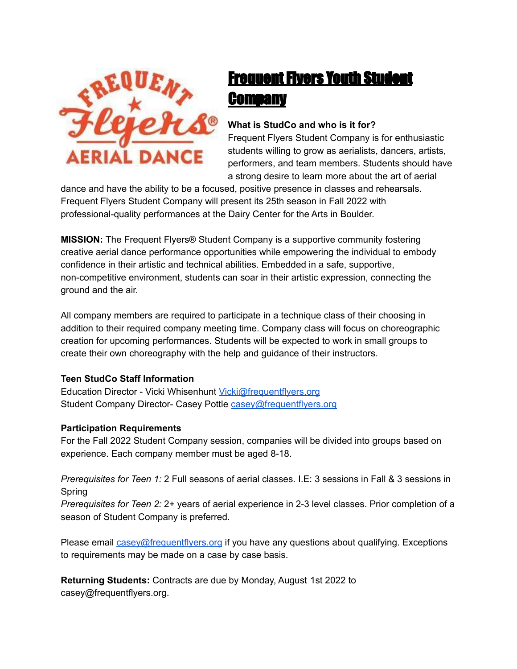

# Frequent Flyers Youth Student **Company**

# **What is StudCo and who is it for?**

Frequent Flyers Student Company is for enthusiastic students willing to grow as aerialists, dancers, artists, performers, and team members. Students should have a strong desire to learn more about the art of aerial

dance and have the ability to be a focused, positive presence in classes and rehearsals. Frequent Flyers Student Company will present its 25th season in Fall 2022 with professional-quality performances at the Dairy Center for the Arts in Boulder.

**MISSION:** The Frequent Flyers® Student Company is a supportive community fostering creative aerial dance performance opportunities while empowering the individual to embody confidence in their artistic and technical abilities. Embedded in a safe, supportive, non-competitive environment, students can soar in their artistic expression, connecting the ground and the air.

All company members are required to participate in a technique class of their choosing in addition to their required company meeting time. Company class will focus on choreographic creation for upcoming performances. Students will be expected to work in small groups to create their own choreography with the help and guidance of their instructors.

#### **Teen StudCo Staff Information**

Education Director - Vicki Whisenhunt [Vicki@frequentflyers.org](mailto:Vicki@frequentflyers.org) Student Company Director- Casey Pottle [casey@frequentflyers.org](mailto:casey@frequentflyers.org)

#### **Participation Requirements**

For the Fall 2022 Student Company session, companies will be divided into groups based on experience. Each company member must be aged 8-18.

*Prerequisites for Teen 1:* 2 Full seasons of aerial classes. I.E: 3 sessions in Fall & 3 sessions in Spring

*Prerequisites for Teen 2:* 2+ years of aerial experience in 2-3 level classes. Prior completion of a season of Student Company is preferred.

Please email [casey@frequentflyers.org](mailto:casey@frequentflyers.org) if you have any questions about qualifying. Exceptions to requirements may be made on a case by case basis.

**Returning Students:** Contracts are due by Monday, August 1st 2022 to casey@frequentflyers.org.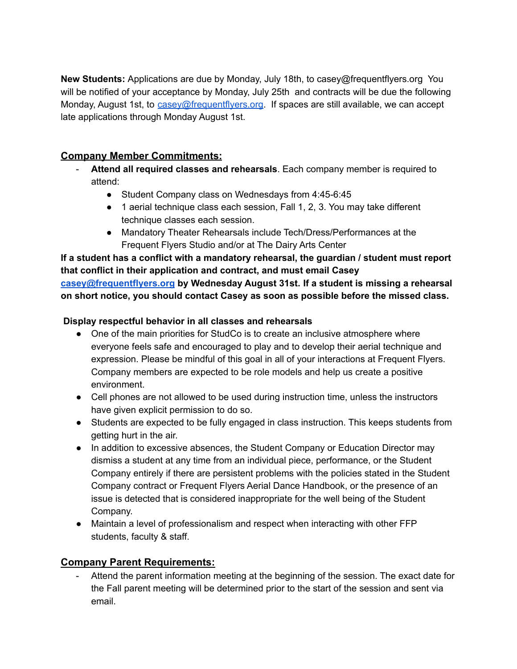**New Students:** Applications are due by Monday, July 18th, to casey@frequentflyers.org You will be notified of your acceptance by Monday, July 25th and contracts will be due the following Monday, August 1st, to [casey@frequentflyers.org](mailto:casey@frequentflyers.org). If spaces are still available, we can accept late applications through Monday August 1st.

# **Company Member Commitments:**

- **Attend all required classes and rehearsals**. Each company member is required to attend:
	- Student Company class on Wednesdays from 4:45-6:45
	- 1 aerial technique class each session, Fall 1, 2, 3. You may take different technique classes each session.
	- Mandatory Theater Rehearsals include Tech/Dress/Performances at the Frequent Flyers Studio and/or at The Dairy Arts Center

**If a student has a conflict with a mandatory rehearsal, the guardian / student must report that conflict in their application and contract, and must email Casey [casey@frequentflyers.org](mailto:casey@frequentflyers.org) by Wednesday August 31st. If a student is missing a rehearsal on short notice, you should contact Casey as soon as possible before the missed class.**

### **Display respectful behavior in all classes and rehearsals**

- One of the main priorities for StudCo is to create an inclusive atmosphere where everyone feels safe and encouraged to play and to develop their aerial technique and expression. Please be mindful of this goal in all of your interactions at Frequent Flyers. Company members are expected to be role models and help us create a positive environment.
- Cell phones are not allowed to be used during instruction time, unless the instructors have given explicit permission to do so.
- Students are expected to be fully engaged in class instruction. This keeps students from getting hurt in the air.
- In addition to excessive absences, the Student Company or Education Director may dismiss a student at any time from an individual piece, performance, or the Student Company entirely if there are persistent problems with the policies stated in the Student Company contract or Frequent Flyers Aerial Dance Handbook, or the presence of an issue is detected that is considered inappropriate for the well being of the Student Company.
- Maintain a level of professionalism and respect when interacting with other FFP students, faculty & staff.

# **Company Parent Requirements:**

Attend the parent information meeting at the beginning of the session. The exact date for the Fall parent meeting will be determined prior to the start of the session and sent via email.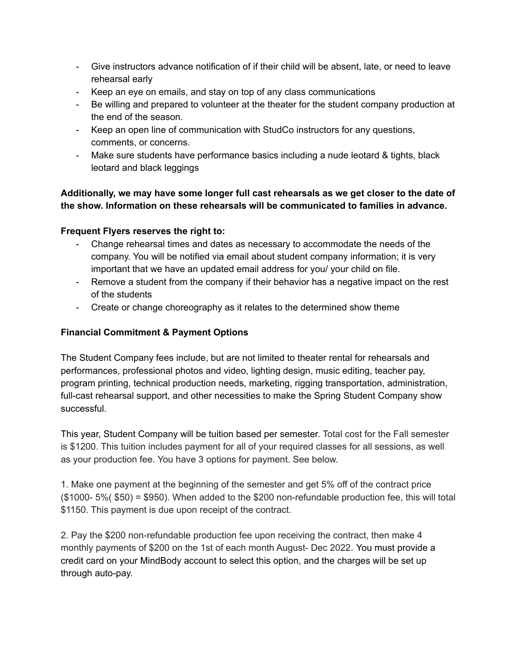- Give instructors advance notification of if their child will be absent, late, or need to leave rehearsal early
- Keep an eye on emails, and stay on top of any class communications
- Be willing and prepared to volunteer at the theater for the student company production at the end of the season.
- Keep an open line of communication with StudCo instructors for any questions, comments, or concerns.
- Make sure students have performance basics including a nude leotard & tights, black leotard and black leggings

### **Additionally, we may have some longer full cast rehearsals as we get closer to the date of the show. Information on these rehearsals will be communicated to families in advance.**

### **Frequent Flyers reserves the right to:**

- Change rehearsal times and dates as necessary to accommodate the needs of the company. You will be notified via email about student company information; it is very important that we have an updated email address for you/ your child on file.
- Remove a student from the company if their behavior has a negative impact on the rest of the students
- Create or change choreography as it relates to the determined show theme

# **Financial Commitment & Payment Options**

The Student Company fees include, but are not limited to theater rental for rehearsals and performances, professional photos and video, lighting design, music editing, teacher pay, program printing, technical production needs, marketing, rigging transportation, administration, full-cast rehearsal support, and other necessities to make the Spring Student Company show successful.

This year, Student Company will be tuition based per semester. Total cost for the Fall semester is \$1200. This tuition includes payment for all of your required classes for all sessions, as well as your production fee. You have 3 options for payment. See below.

1. Make one payment at the beginning of the semester and get 5% off of the contract price (\$1000- 5%( \$50) = \$950). When added to the \$200 non-refundable production fee, this will total \$1150. This payment is due upon receipt of the contract.

2. Pay the \$200 non-refundable production fee upon receiving the contract, then make 4 monthly payments of \$200 on the 1st of each month August- Dec 2022. You must provide a credit card on your MindBody account to select this option, and the charges will be set up through auto-pay.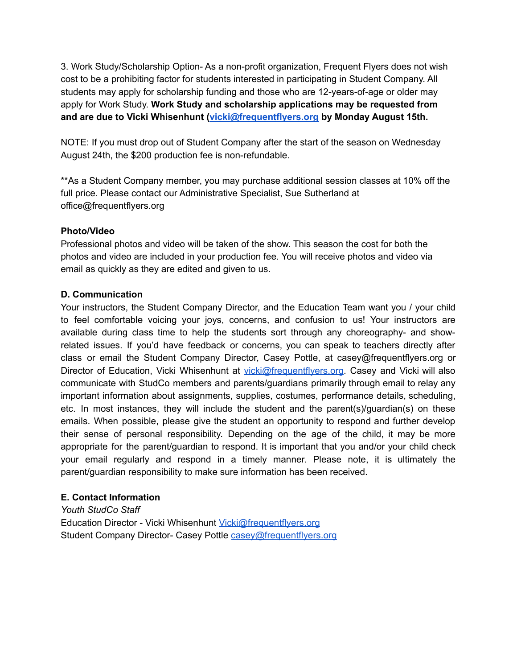3. Work Study/Scholarship Option- As a non-profit organization, Frequent Flyers does not wish cost to be a prohibiting factor for students interested in participating in Student Company. All students may apply for scholarship funding and those who are 12-years-of-age or older may apply for Work Study. **Work Study and scholarship applications may be requested from and are due to Vicki Whisenhunt [\(vicki@frequentflyers.org](mailto:vicki@frequentflyers.org) by Monday August 15th.**

NOTE: If you must drop out of Student Company after the start of the season on Wednesday August 24th, the \$200 production fee is non-refundable.

\*\*As a Student Company member, you may purchase additional session classes at 10% off the full price. Please contact our Administrative Specialist, Sue Sutherland at office@frequentflyers.org

#### **Photo/Video**

Professional photos and video will be taken of the show. This season the cost for both the photos and video are included in your production fee. You will receive photos and video via email as quickly as they are edited and given to us.

#### **D. Communication**

Your instructors, the Student Company Director, and the Education Team want you / your child to feel comfortable voicing your joys, concerns, and confusion to us! Your instructors are available during class time to help the students sort through any choreography- and showrelated issues. If you'd have feedback or concerns, you can speak to teachers directly after class or email the Student Company Director, Casey Pottle, at casey@frequentflyers.org or Director of Education, Vicki Whisenhunt at [vicki@frequentflyers.org](mailto:vicki@frequentflyers.org). Casey and Vicki will also communicate with StudCo members and parents/guardians primarily through email to relay any important information about assignments, supplies, costumes, performance details, scheduling, etc. In most instances, they will include the student and the parent(s)/guardian(s) on these emails. When possible, please give the student an opportunity to respond and further develop their sense of personal responsibility. Depending on the age of the child, it may be more appropriate for the parent/guardian to respond. It is important that you and/or your child check your email regularly and respond in a timely manner. Please note, it is ultimately the parent/guardian responsibility to make sure information has been received.

#### **E. Contact Information**

*Youth StudCo Staff* Education Director - Vicki Whisenhunt [Vicki@frequentflyers.org](mailto:Vicki@frequentflyers.org) Student Company Director- Casey Pottle [casey@frequentflyers.org](mailto:casey@frequentflyers.org)